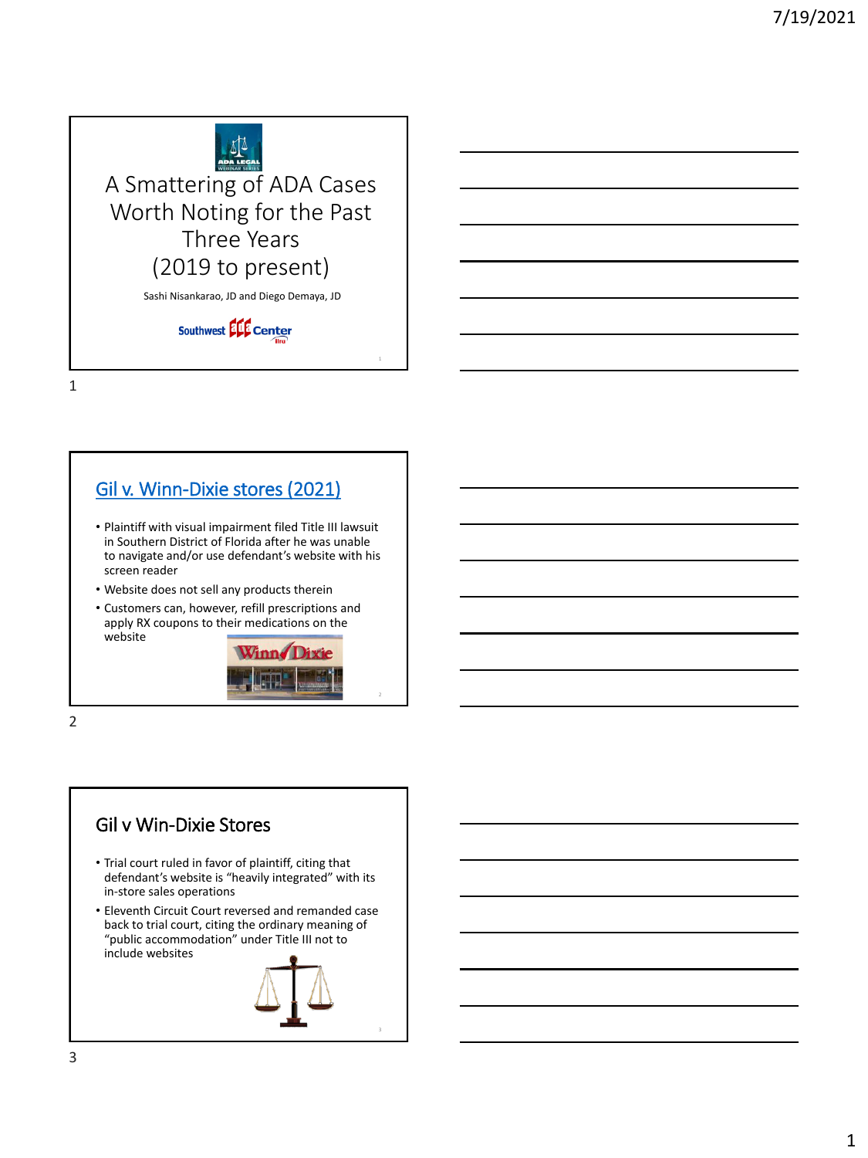

1

## [Gil v. Winn-Dixie stores \(2021\)](https://www.jdsupra.com/legalnews/website-compliance-with-the-ada-gil-v-5213145/)

- Plaintiff with visual impairment filed Title III lawsuit in Southern District of Florida after he was unable to navigate and/or use defendant's website with his screen reader
- Website does not sell any products therein
- Customers can, however, refill prescriptions and apply RX coupons to their medications on the website



2

2

# Gil v Win-Dixie Stores

- Trial court ruled in favor of plaintiff, citing that defendant's website is "heavily integrated" with its in-store sales operations
- Eleventh Circuit Court reversed and remanded case back to trial court, citing the ordinary meaning of "public accommodation" under Title III not to include websites

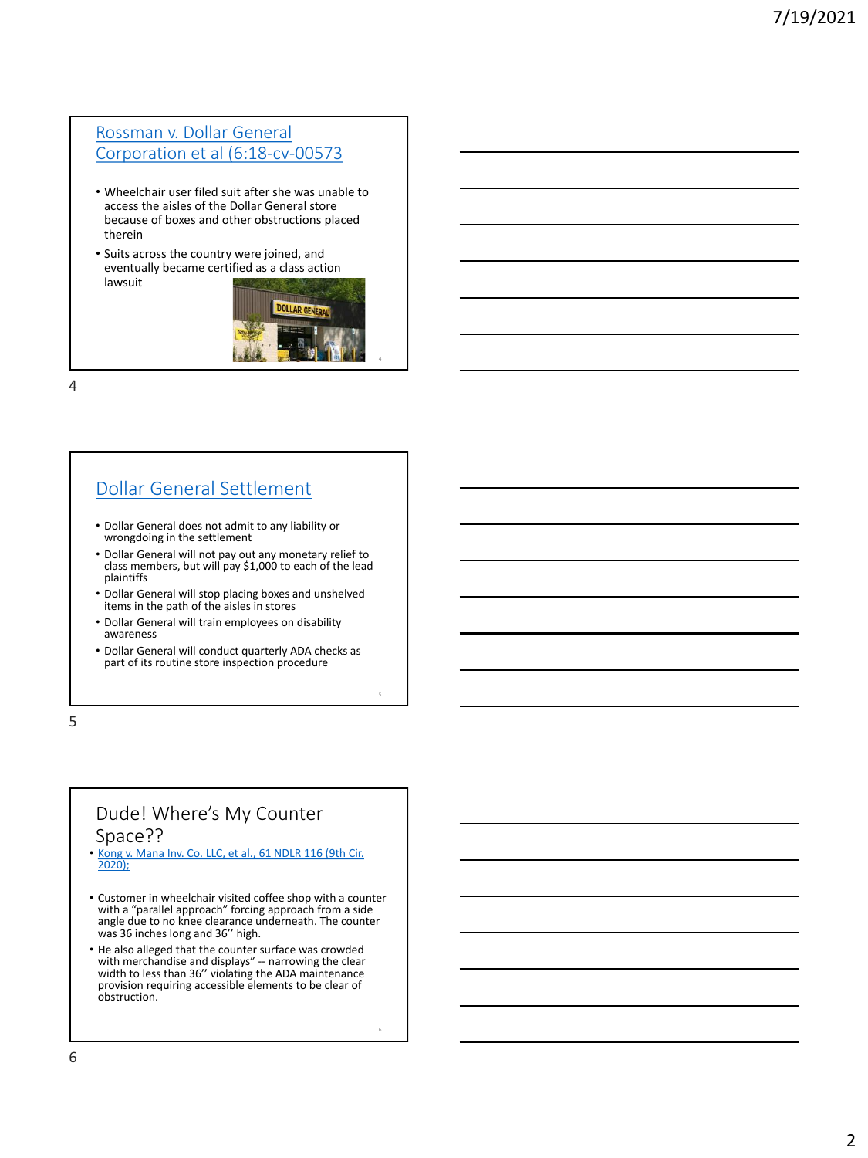#### Rossman v. Dollar General [Corporation et al \(6:18-cv-00573](https://www.pacermonitor.com/public/case/24527275/Rossman_v_Dollar_General_Corporation_et_al)

- Wheelchair user filed suit after she was unable to access the aisles of the Dollar General store because of boxes and other obstructions placed therein
- Suits across the country were joined, and eventually became certified as a class action lawsuit



4

5

4

## [Dollar General Settlement](https://topclassactions.com/disability-class-action-lawsuit/1007514-dollar-general-ada-settlement-reached-class-action/)

- Dollar General does not admit to any liability or wrongdoing in the settlement
- Dollar General will not pay out any monetary relief to class members, but will pay \$1,000 to each of the lead plaintiffs
- Dollar General will stop placing boxes and unshelved items in the path of the aisles in stores
- Dollar General will train employees on disability awareness
- Dollar General will conduct quarterly ADA checks as part of its routine store inspection procedure

5

## Dude! Where's My Counter Space??

- [Kong v. Mana Inv. Co. LLC, et al., 61 NDLR 116 \(9th Cir.](https://casetext.com/case/kong-v-mana-inv-co-1) 2020);
- Customer in wheelchair visited coffee shop with a counter with a "parallel approach" forcing approach from a side angle due to no knee clearance underneath. The counter was 36 inches long and 36'' high.
- He also alleged that the counter surface was crowded with merchandise and displays" -- narrowing the clear width to less than 36'' violating the ADA maintenance provision requiring accessible elements to be clear of obstruction.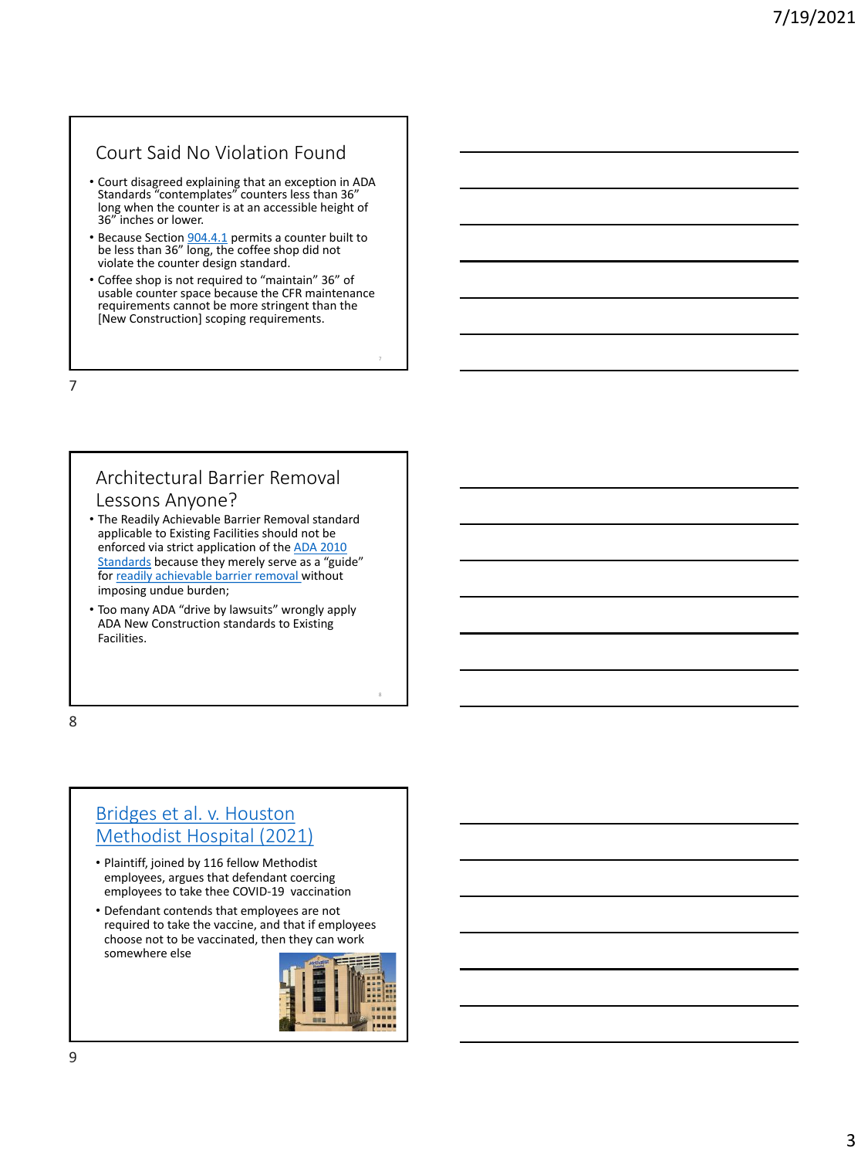#### Court Said No Violation Found

- Court disagreed explaining that an exception in ADA Standards "contemplates" counters less than 36" long when the counter is at an accessible height of 36" inches or lower.
- Because Section [904.4.1](https://www.ada.gov/regs2010/2010ADAStandards/2010ADAstandards.htm) permits a counter built to be less than 36" long, the coffee shop did not violate the counter design standard.
- Coffee shop is not required to "maintain" 36" of usable counter space because the CFR maintenance requirements cannot be more stringent than the [New Construction] scoping requirements.

7

#### Architectural Barrier Removal Lessons Anyone?

- The Readily Achievable Barrier Removal standard applicable to Existing Facilities should not be [enforced via strict application of the ADA 2010](https://www.ada.gov/2010ADAstandards_index.htm)  Standards because they merely serve as a "guide" for [readily achievable barrier removal w](https://www.ada.gov/reachingout/factors.html)ithout imposing undue burden;
- Too many ADA "drive by lawsuits" wrongly apply ADA New Construction standards to Existing Facilities.

8

## Bridges et al. v. Houston [Methodist Hospital \(2021\)](https://docs.justia.com/cases/federal/district-courts/texas/txsdce/4:2021cv01774/1830373/18)

- Plaintiff, joined by 116 fellow Methodist employees, argues that defendant coercing employees to take thee COVID-19 vaccination
- Defendant contends that employees are not required to take the vaccine, and that if employees choose not to be vaccinated, then they can work somewhere else

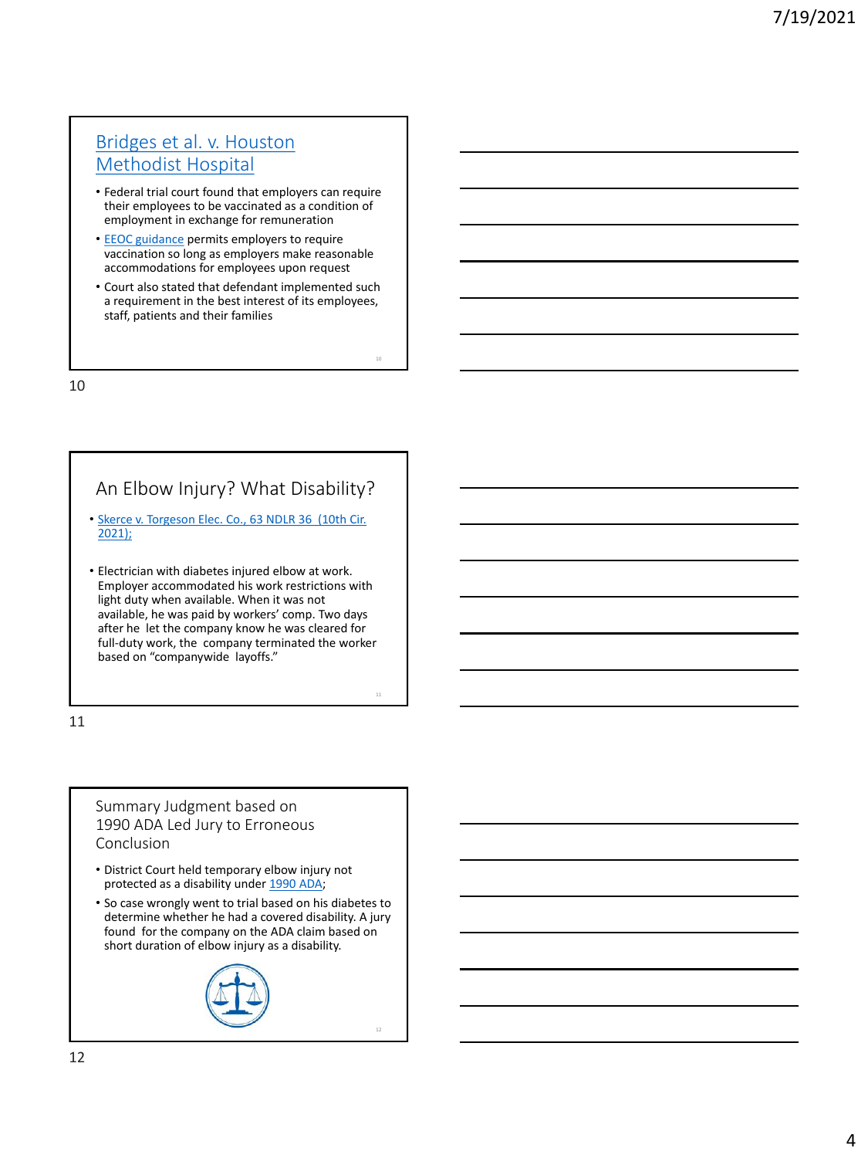## [Bridges et al. v. Houston](https://www.eeoc.gov/wysk/what-you-should-know-about-covid-19-and-ada-rehabilitation-act-and-other-eeo-laws)  Methodist Hospital

- Federal trial court found that employers can require their employees to be vaccinated as a condition of employment in exchange for remuneration
- [EEOC guidance](https://www.eeoc.gov/wysk/what-you-should-know-about-covid-19-and-ada-rehabilitation-act-and-other-eeo-laws) permits employers to require vaccination so long as employers make reasonable accommodations for employees upon request
- Court also stated that defendant implemented such a requirement in the best interest of its employees, staff, patients and their families

10

11

10

# An Elbow Injury? What Disability?

- [Skerce v. Torgeson Elec. Co., 63 NDLR 36 \(10th Cir.](https://ecf.ksd.uscourts.gov/cgi-bin/show_public_doc?2018cv2040-58)  2021);
- Electrician with diabetes injured elbow at work. Employer accommodated his work restrictions with light duty when available. When it was not available, he was paid by workers' comp. Two days after he let the company know he was cleared for full-duty work, the company terminated the worker based on "companywide layoffs."

11

#### Summary Judgment based on 1990 ADA Led Jury to Erroneous Conclusion

- District Court held temporary elbow injury not protected as a disability under [1990 ADA;](https://www.eeoc.gov/americans-disabilities-act-1990-original-text)
- So case wrongly went to trial based on his diabetes to determine whether he had a covered disability. A jury found for the company on the ADA claim based on short duration of elbow injury as a disability.

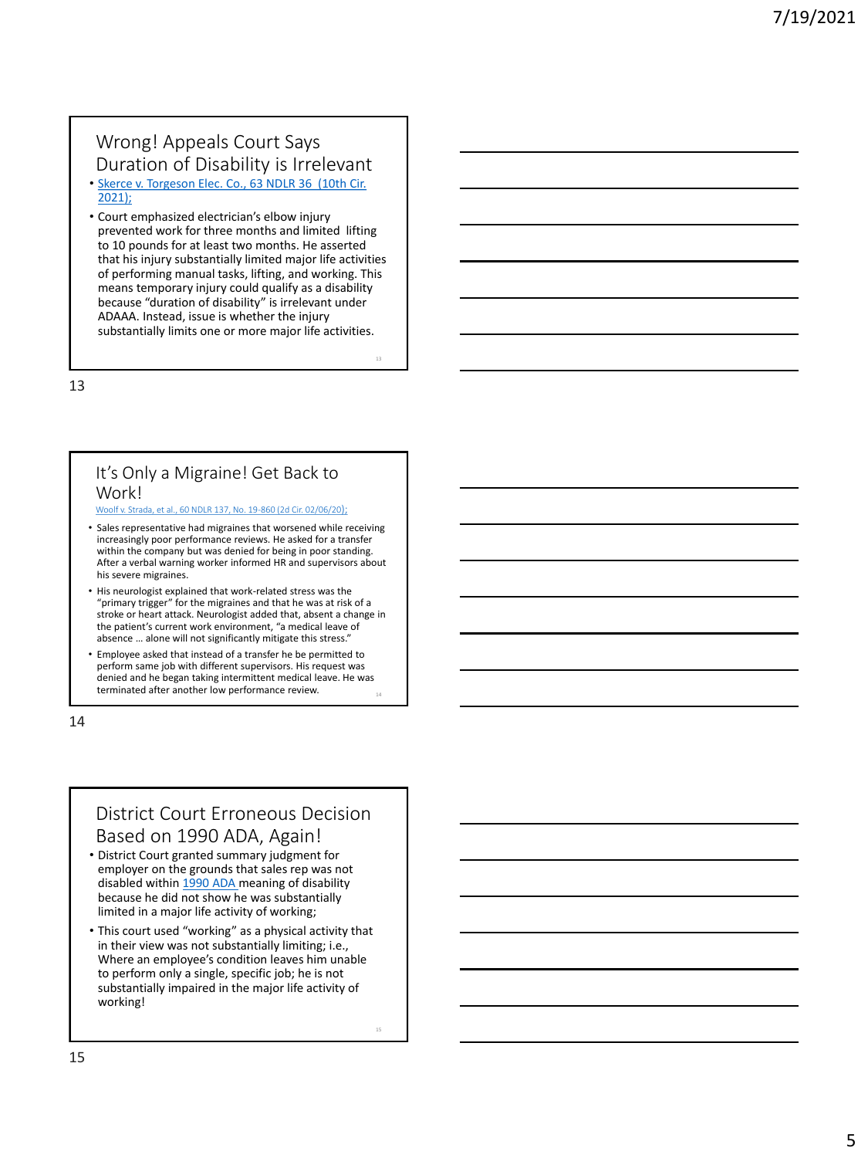#### Wrong! Appeals Court Says Duration of Disability is Irrelevant

- [Skerce v. Torgeson Elec. Co., 63 NDLR 36 \(10th Cir.](https://ecf.ksd.uscourts.gov/cgi-bin/show_public_doc?2018cv2040-58)  2021);
- Court emphasized electrician's elbow injury prevented work for three months and limited lifting to 10 pounds for at least two months. He asserted that his injury substantially limited major life activities of performing manual tasks, lifting, and working. This means temporary injury could qualify as a disability because "duration of disability" is irrelevant under ADAAA. Instead, issue is whether the injury substantially limits one or more major life activities.

13

#### It's Only a Migraine! Get Back to Work!

[Woolf v. Strada, et al., 60 NDLR 137, No. 19-860 \(2d Cir. 02/06/20](https://law.justia.com/cases/federal/appellate-courts/ca2/19-860/19-860-2020-02-06.html));

- Sales representative had migraines that worsened while receiving increasingly poor performance reviews. He asked for a transfer within the company but was denied for being in poor standing. After a verbal warning worker informed HR and supervisors about his severe migraines.
- His neurologist explained that work-related stress was the "primary trigger" for the migraines and that he was at risk of a stroke or heart attack. Neurologist added that, absent a change in the patient's current work environment, "a medical leave of absence … alone will not significantly mitigate this stress."
- 14 • Employee asked that instead of a transfer he be permitted to perform same job with different supervisors. His request was denied and he began taking intermittent medical leave. He was terminated after another low performance review.

14

## District Court Erroneous Decision Based on 1990 ADA, Again!

- District Court granted summary judgment for employer on the grounds that sales rep was not disabled within [1990 ADA m](https://www.eeoc.gov/americans-disabilities-act-1990-original-text)eaning of disability because he did not show he was substantially limited in a major life activity of working;
- This court used "working" as a physical activity that in their view was not substantially limiting; i.e., Where an employee's condition leaves him unable to perform only a single, specific job; he is not substantially impaired in the major life activity of working!

15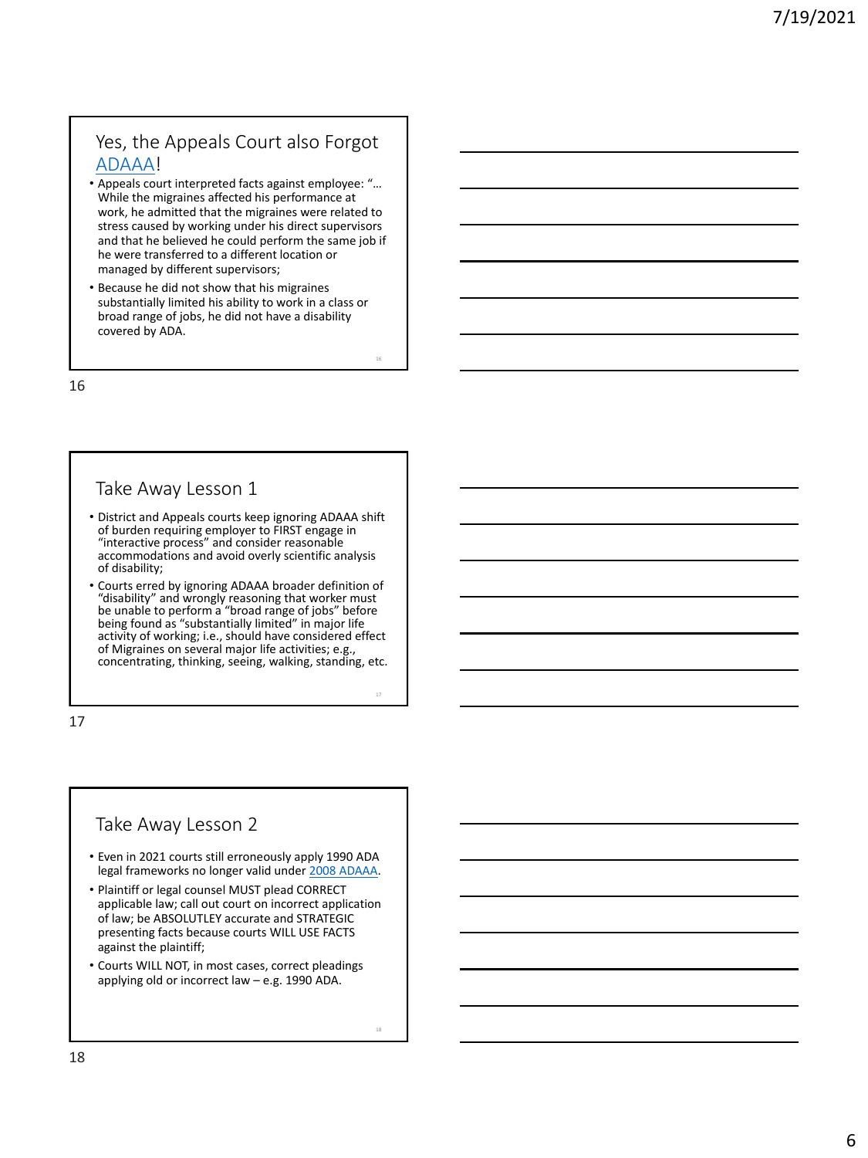## Yes, the Appeals Court also Forgot [ADAAA](https://adata.org/sites/adata.org/files/files/Employee_View_of_Changes_LP%20final2018(1).pdf)!

- Appeals court interpreted facts against employee: "… While the migraines affected his performance at work, he admitted that the migraines were related to stress caused by working under his direct supervisors and that he believed he could perform the same job if he were transferred to a different location or managed by different supervisors;
- Because he did not show that his migraines substantially limited his ability to work in a class or broad range of jobs, he did not have a disability covered by ADA.

16

#### Take Away Lesson 1

- District and Appeals courts keep ignoring ADAAA shift of burden requiring employer to FIRST engage in "interactive process" and consider reasonable accommodations and avoid overly scientific analysis of disability;
- Courts erred by ignoring ADAAA broader definition of "disability" and wrongly reasoning that worker must be unable to perform a "broad range of jobs" before being found as "substantially limited" in major life activity of working; i.e., should have considered effect of Migraines on several major life activities; e.g., concentrating, thinking, seeing, walking, standing, etc.

17

#### Take Away Lesson 2

- Even in 2021 courts still erroneously apply 1990 ADA legal frameworks no longer valid under [2008 ADAAA](https://www.eeoc.gov/statutes/americans-disabilities-act-amendments-act-2008).
- Plaintiff or legal counsel MUST plead CORRECT applicable law; call out court on incorrect application of law; be ABSOLUTLEY accurate and STRATEGIC presenting facts because courts WILL USE FACTS against the plaintiff;
- Courts WILL NOT, in most cases, correct pleadings applying old or incorrect law – e.g. 1990 ADA.

18

16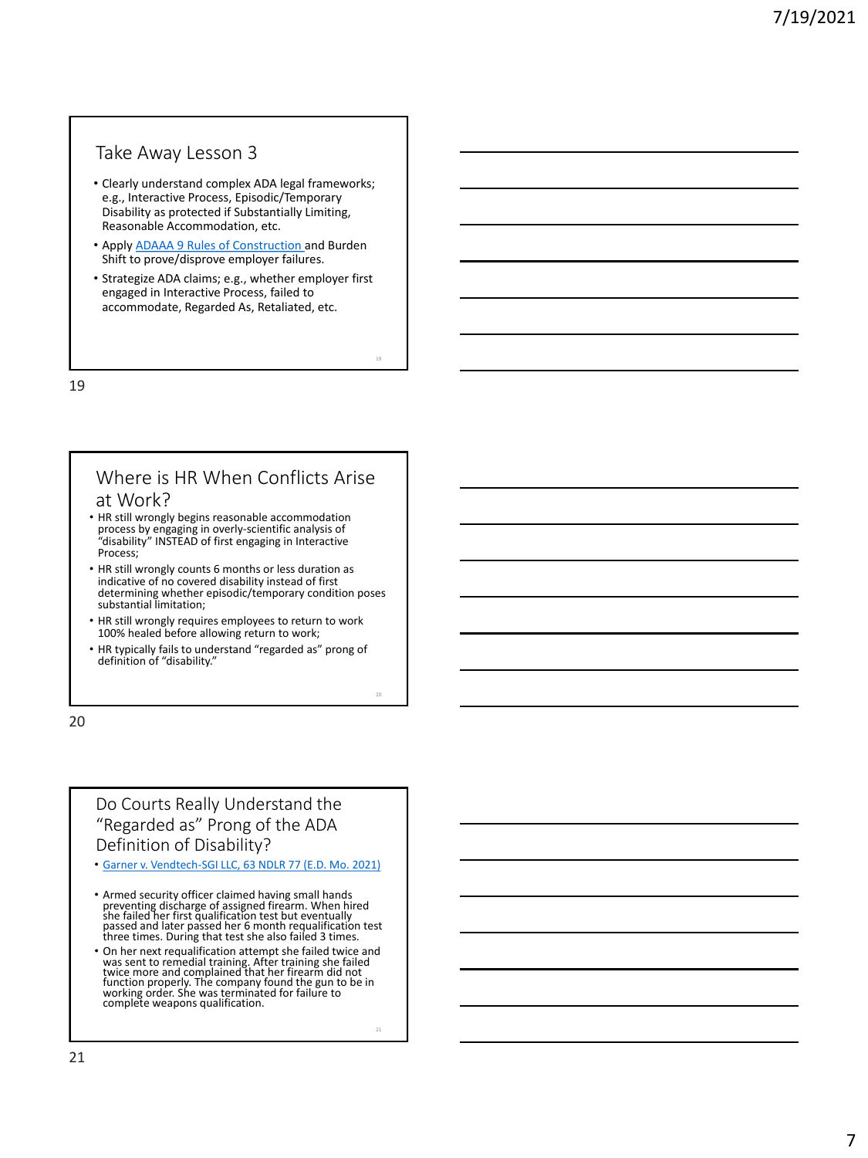#### Take Away Lesson 3

- Clearly understand complex ADA legal frameworks; e.g., Interactive Process, Episodic/Temporary Disability as protected if Substantially Limiting, Reasonable Accommodation, etc.
- Apply [ADAAA 9 Rules of Construction a](http://southwestada.org/html/topical/Disability/Dis_definition.html)nd Burden Shift to prove/disprove employer failures.
- Strategize ADA claims; e.g., whether employer first engaged in Interactive Process, failed to accommodate, Regarded As, Retaliated, etc.

19

#### Where is HR When Conflicts Arise at Work?

- HR still wrongly begins reasonable accommodation process by engaging in overly-scientific analysis of "disability" INSTEAD of first engaging in Interactive Process;
- HR still wrongly counts 6 months or less duration as indicative of no covered disability instead of first determining whether episodic/temporary condition poses substantial limitation;
- HR still wrongly requires employees to return to work 100% healed before allowing return to work;
- HR typically fails to understand "regarded as" prong of definition of "disability."

20

#### Do Courts Really Understand the "Regarded as" Prong of the ADA Definition of Disability?

- [Garner v. Vendtech-SGI LLC, 63 NDLR 77 \(E.D. Mo. 2021\)](https://casetext.com/case/hurley-v-vendtech-sgi-llc)
- Armed security officer claimed having small hands preventing discharge of assigned firearm. When hired<br>she failed her first qualification test but eventually<br>passed and later passed her 6 month requalification test three times. During that test she also failed 3 times.
- On her next requalification attempt she failed twice and was sent to remedial training. After training she failed twice more and complained that her firearm did not function properly. The company found the gun to be in working order. She was terminated for failure to complete weapons qualification.

21

19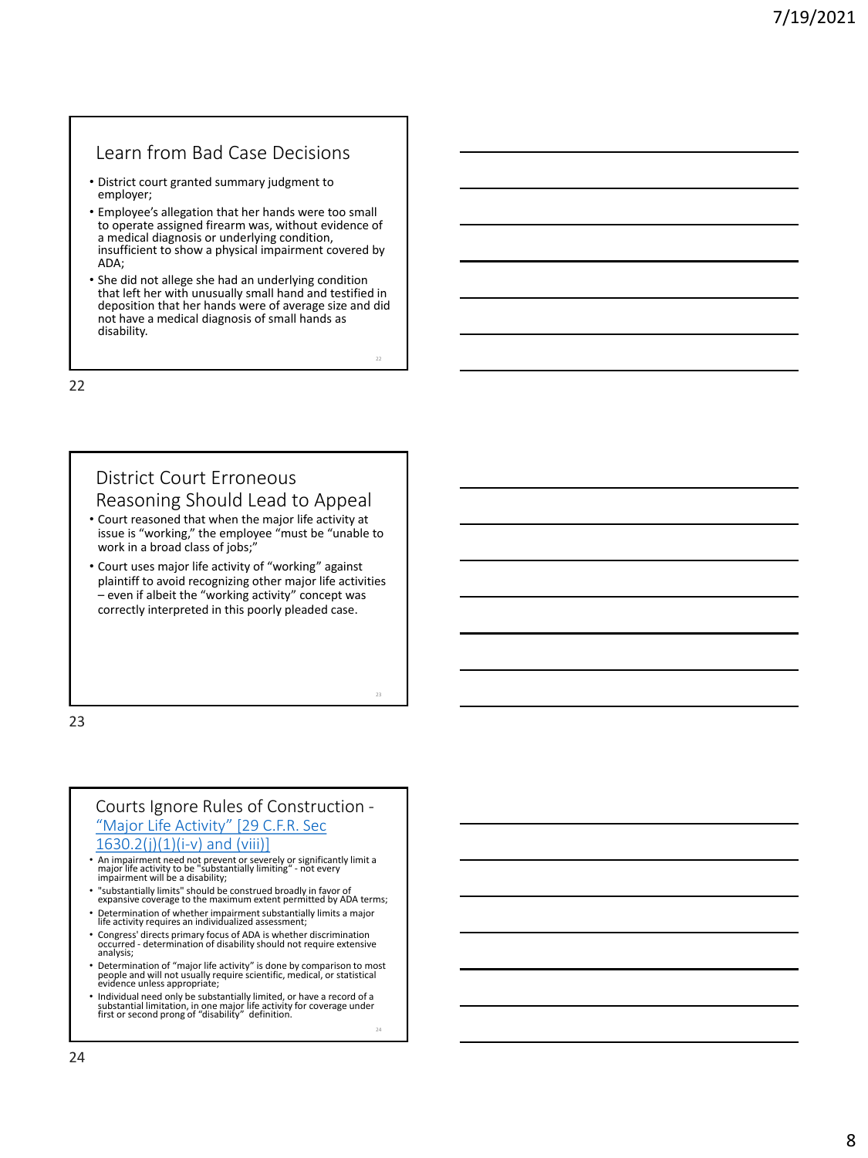#### Learn from Bad Case Decisions

- District court granted summary judgment to employer;
- Employee's allegation that her hands were too small to operate assigned firearm was, without evidence of a medical diagnosis or underlying condition, insufficient to show a physical impairment covered by ADA;
- She did not allege she had an underlying condition that left her with unusually small hand and testified in deposition that her hands were of average size and did not have a medical diagnosis of small hands as disability.

22

23

24

22

#### District Court Erroneous Reasoning Should Lead to Appeal

- Court reasoned that when the major life activity at issue is "working," the employee "must be "unable to work in a broad class of jobs;"
- Court uses major life activity of "working" against plaintiff to avoid recognizing other major life activities – even if albeit the "working activity" concept was correctly interpreted in this poorly pleaded case.

23

#### Courts Ignore Rules of Construction - ["Major Life Activity" \[29 C.F.R. Sec](http://southwestada.org/html/topical/Disability/Dis_definition.html)  $1630.2(j)(1)(i-v)$  and (viii)]

- An impairment need not prevent or severely or significantly limit a major life activity to be "substantially limiting" not every impairment will be a disability;
- "substantially limits" should be construed broadly in favor of expansive coverage to the maximum extent permitted by ADA terms;
- Determination of whether impairment substantially limits a major life activity requires an individualized assessment;
- Congress' directs primary focus of ADA is whether discrimination occurred determination of disability should not require extensive analysis;
- Determination of "major life activity" is done by comparison to most people and will not usually require scientific, medical, or statistical evidence unless appropriate;
- Individual need only be substantially limited, or have a record of a substantial limitation, in one major life activity for coverage under first or second prong of "disability" definition.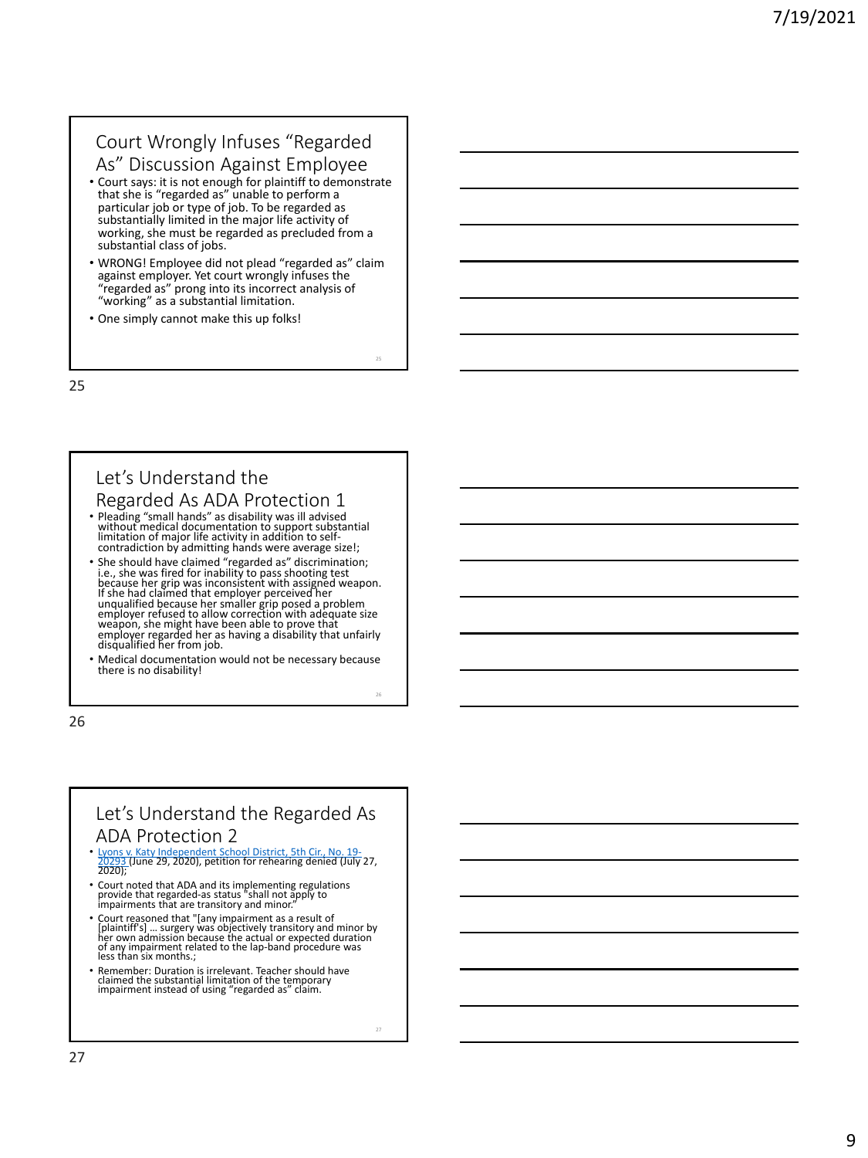# Court Wrongly Infuses "Regarded

- As" Discussion Against Employee • Court says: it is not enough for plaintiff to demonstrate that she is "regarded as" unable to perform a particular job or type of job. To be regarded as substantially limited in the major life activity of working, she must be regarded as precluded from a substantial class of jobs.
- WRONG! Employee did not plead "regarded as" claim against employer. Yet court wrongly infuses the "regarded as" prong into its incorrect analysis of "working" as a substantial limitation.
- One simply cannot make this up folks!

25

# Let's Understand the

# Regarded As ADA Protection 1 • Pleading "small hands" as disability was ill advised

- without medical documentation to support substantial limitation of major life activity in addition to self contradiction by admitting hands were average size!;
- She should have claimed "regarded as" discrimination;<br>i.e., she was fired for inability to pass shooting test<br>because her grip was inconsistent with assigned weapon.<br>If she had claimed that employer perceived her unqualified because her smaller grip posed a problem employer refused to allow correction with adequate size weapon, she might have been able to prove that<br>employer regarded her as having a disability that unfairly<br>disqualified her from job.
- Medical documentation would not be necessary because there is no disability!

26

## Let's Understand the Regarded As ADA Protection 2

- [Lyons v. Katy Independent School District, 5th Cir., No. 19](https://www.ca5.uscourts.gov/opinions/pub/19/19-20293-CR0.pdf) 20293 (June 29, 2020), petition for rehearing denied (July 27,  $\frac{2025}{2020}$
- Court noted that ADA and its implementing regulations provide that regarded -as status "shall not apply to impairments that are transitory and minor."
- Court reasoned that "[any impairment as a result of<br>[plaintiffs] ... surgery was objectively transitory and minor by<br>her own admission because the actual or expected duration<br>of any impairment related to the lap-band pro less than six months.;
- Remember: Duration is irrelevant. Teacher should have claimed the substantial limitation of the temporary impairment instead of using "regarded as" claim.

27

25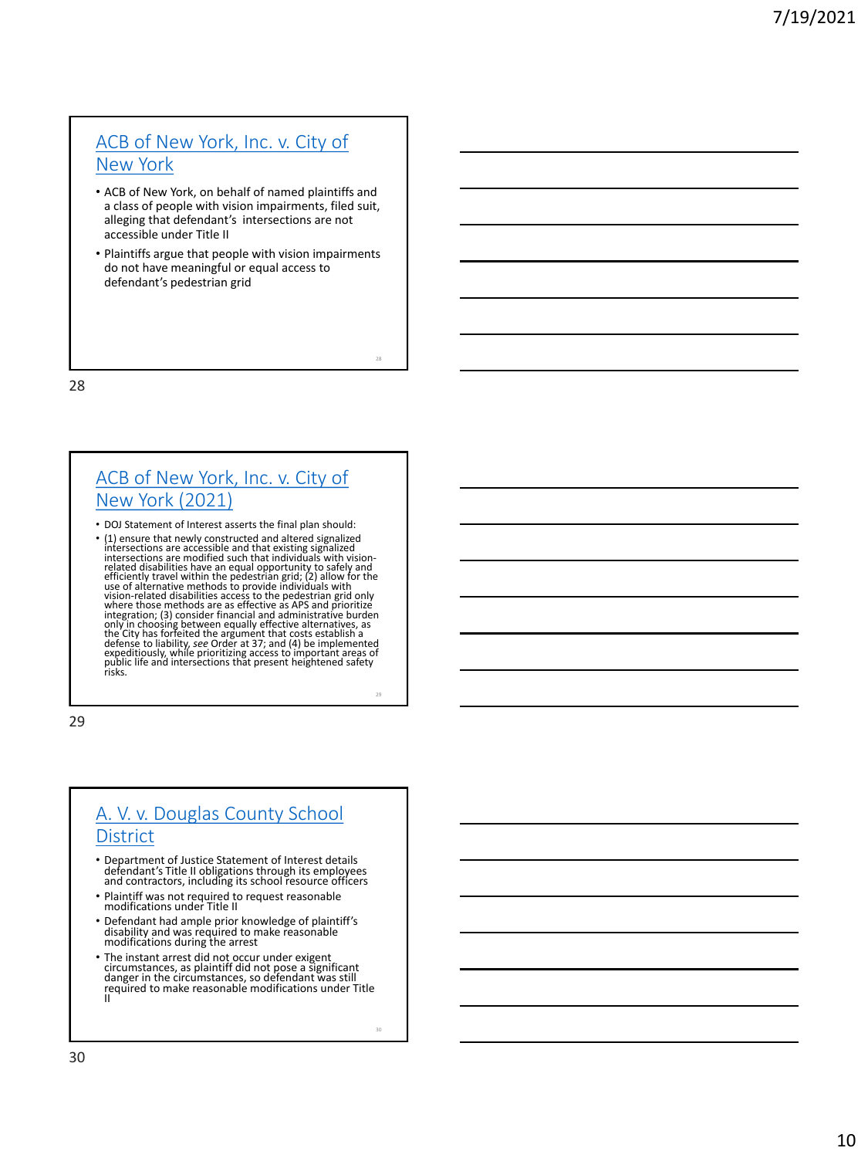## [ACB of New York, Inc. v. City of](https://www.ada.gov/acbmc/acbmc_motion.html)  New York

- ACB of New York, on behalf of named plaintiffs and a class of people with vision impairments, filed suit, alleging that defendant's intersections are not accessible under Title II
- Plaintiffs argue that people with vision impairments do not have meaningful or equal access to defendant's pedestrian grid

28

## [ACB of New York, Inc. v. City of](https://www.ada.gov/acb_nyc_soi.html)  New York (2021)

- DOJ Statement of Interest asserts the final plan should:
- (1) ensure that newly constructed and altered signalized<br>intersections are accessible and that existing signalized<br>intersections are modified such that individuals with vision-<br>related disabilities have an equal opportu vision-related disabilities access to the pedestrian grid only where those methods are as effective as APS and prioritize integration; (3) consider financial and administrative burden<br>only in choosing between equally effective alternatives, as<br>the City has forfeited the argument that costs establish a<br>defense to liability, see Order at 37; an

29

## [A. V. v. Douglas County School](https://www.ada.gov/av_douglas_co_soi.html)  **District**

- Department of Justice Statement of Interest details defendant's Title II obligations through its employees and contractors, including its school resource officers
- Plaintiff was not required to request reasonable modifications under Title II
- Defendant had ample prior knowledge of plaintiff's disability and was required to make reasonable modifications during the arrest
- The instant arrest did not occur under exigent circumstances, as plaintiff did not pose a significant danger in the circumstances, so defendant was still required to make reasonable modifications under Title II

30

28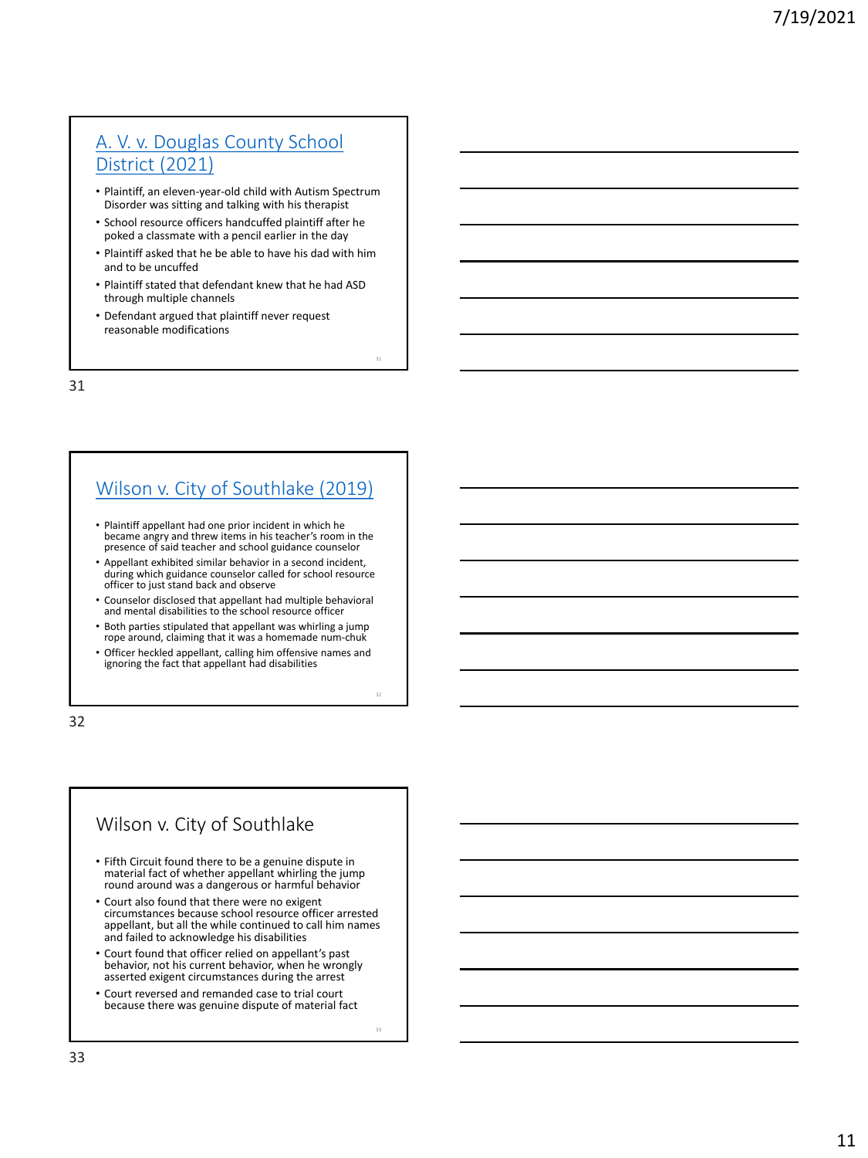## [A. V. v. Douglas County School](https://dockets.justia.com/docket/colorado/codce/1:2021cv00704/205103)  District (2021)

- Plaintiff, an eleven-year-old child with Autism Spectrum Disorder was sitting and talking with his therapist
- School resource officers handcuffed plaintiff after he poked a classmate with a pencil earlier in the day
- Plaintiff asked that he be able to have his dad with him and to be uncuffed
- Plaintiff stated that defendant knew that he had ASD through multiple channels
- Defendant argued that plaintiff never request reasonable modifications

31

## [Wilson v. City of Southlake \(2019\)](https://law.justia.com/cases/federal/appellate-courts/ca5/18-10342/18-10342-2019-08-28.html)

- Plaintiff appellant had one prior incident in which he became angry and threw items in his teacher's room in the presence of said teacher and school guidance counselor
- Appellant exhibited similar behavior in a second incident, during which guidance counselor called for school resource officer to just stand back and observe
- Counselor disclosed that appellant had multiple behavioral and mental disabilities to the school resource officer
- Both parties stipulated that appellant was whirling a jump rope around, claiming that it was a homemade num-chuk
- Officer heckled appellant, calling him offensive names and ignoring the fact that appellant had disabilities

32

# Wilson v. City of Southlake

- Fifth Circuit found there to be a genuine dispute in material fact of whether appellant whirling the jump round around was a dangerous or harmful behavior
- Court also found that there were no exigent circumstances because school resource officer arrested appellant, but all the while continued to call him names and failed to acknowledge his disabilities
- Court found that officer relied on appellant's past behavior, not his current behavior, when he wrongly asserted exigent circumstances during the arrest
- Court reversed and remanded case to trial court because there was genuine dispute of material fact

33

31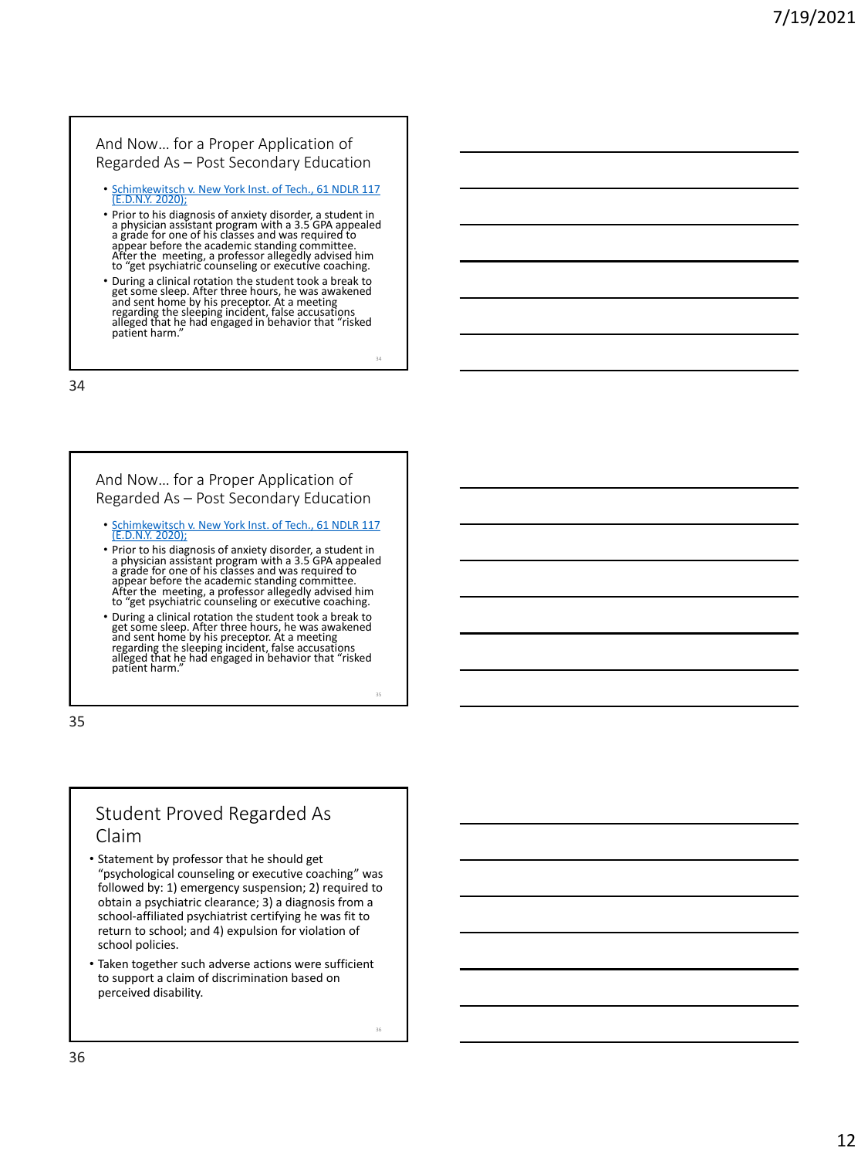#### And Now… for a Proper Application of Regarded As – Post Secondary Education

- Schimkewitsch v. New York Inst. of Tech., 61 NDLR 117<br>[E.D.N.Y. 2020];
- Prior to his diagnosis of anxiety disorder, a student in a physician assistant program with a 3.5 GPA appealed a grade for one of his classes and was required to appear before the academic standing committee. After the meeting, a professor allegedly advised him to "get psychiatric counseling or executive coaching.
- During a clinical rotation the student took a break to get some sleep. After three hours, he was awakened and sent home by his preceptor. At a meeting regarding the sleeping incident, false accusations alleged that he had engaged in behavior that "risked patient harm."

34

#### And Now… for a Proper Application of Regarded As – Post Secondary Education

- [Schimkewitsch v. New York Inst. of Tech., 61 NDLR 117](https://casetext.com/case/schimkewitsch-v-ny-inst-technology)  (E.D.N.Y. 2020);
- Prior to his diagnosis of anxiety disorder, a student in a physician assistant program with a 3.5 GPA appealed a grade for one of his classes and was required to appear before the academic standing committee. After the meeting, a professor allegedly advised him to "get psychiatric counseling or executive coaching.
- During a clinical rotation the student took a break to get some sleep. After three hours, he was awakened and sent home by his preceptor. At a meeting regarding the sleeping incident, false accusations alleged that he had engaged in behavior that "risked patient harm."

35

## Student Proved Regarded As Claim

- Statement by professor that he should get "psychological counseling or executive coaching" was followed by: 1) emergency suspension; 2) required to obtain a psychiatric clearance; 3) a diagnosis from a school -affiliated psychiatrist certifying he was fit to return to school; and 4) expulsion for violation of school policies.
- Taken together such adverse actions were sufficient to support a claim of discrimination based on perceived disability.

36

34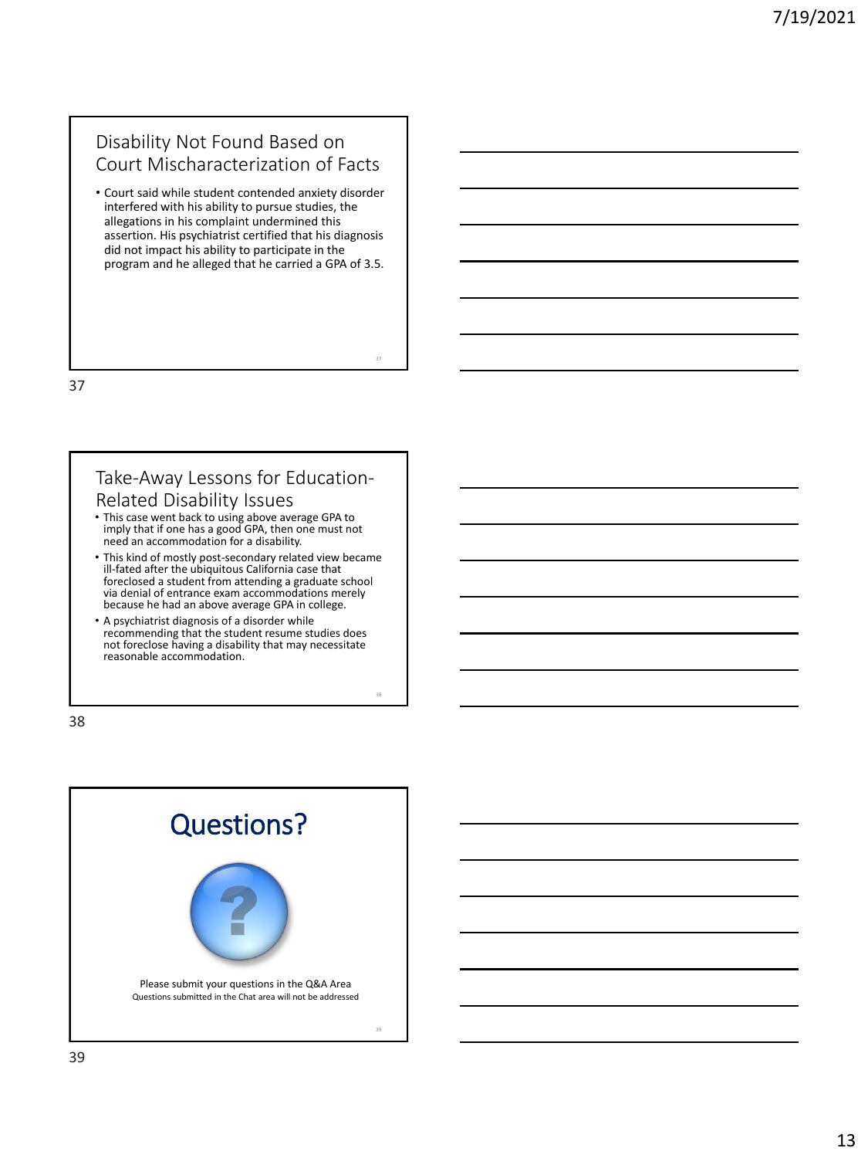## Disability Not Found Based on Court Mischaracterization of Facts

• Court said while student contended anxiety disorder interfered with his ability to pursue studies, the allegations in his complaint undermined this assertion. His psychiatrist certified that his diagnosis did not impact his ability to participate in the program and he alleged that he carried a GPA of 3.5.

37

38

37

#### Take-Away Lessons for Education-Related Disability Issues

- This case went back to using above average GPA to imply that if one has a good GPA, then one must not need an accommodation for a disability.
- This kind of mostly post-secondary related view became ill-fated after the ubiquitous California case that foreclosed a student from attending a graduate school via denial of entrance exam accommodations merely because he had an above average GPA in college.
- A psychiatrist diagnosis of a disorder while recommending that the student resume studies does not foreclose having a disability that may necessitate reasonable accommodation.